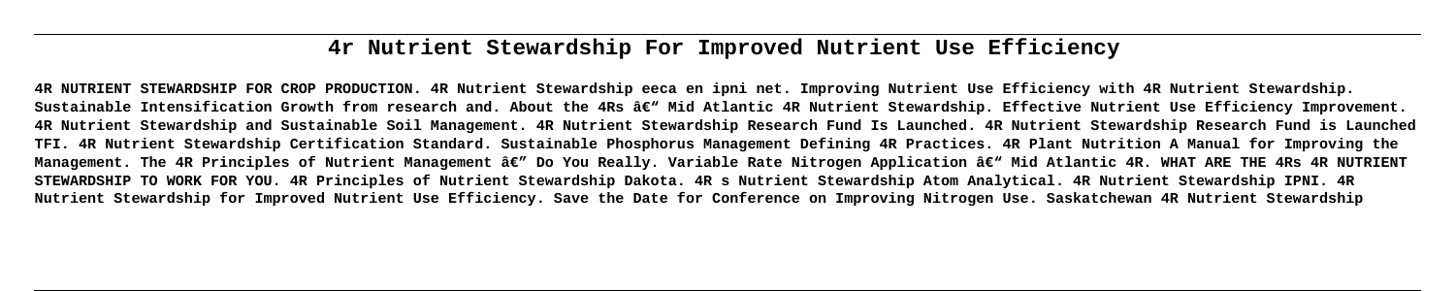# **4r Nutrient Stewardship For Improved Nutrient Use Efficiency**

**4R NUTRIENT STEWARDSHIP FOR CROP PRODUCTION. 4R Nutrient Stewardship eeca en ipni net. Improving Nutrient Use Efficiency with 4R Nutrient Stewardship.** Sustainable Intensification Growth from research and. About the 4Rs â€<sup>w</sup> Mid Atlantic 4R Nutrient Stewardship. Effective Nutrient Use Efficiency Improvement. **4R Nutrient Stewardship and Sustainable Soil Management. 4R Nutrient Stewardship Research Fund Is Launched. 4R Nutrient Stewardship Research Fund is Launched TFI. 4R Nutrient Stewardship Certification Standard. Sustainable Phosphorus Management Defining 4R Practices. 4R Plant Nutrition A Manual for Improving the** Management. The 4R Principles of Nutrient Management â€" Do You Really. Variable Rate Nitrogen Application â€" Mid Atlantic 4R. WHAT ARE THE 4Rs 4R NUTRIENT **STEWARDSHIP TO WORK FOR YOU. 4R Principles of Nutrient Stewardship Dakota. 4R s Nutrient Stewardship Atom Analytical. 4R Nutrient Stewardship IPNI. 4R Nutrient Stewardship for Improved Nutrient Use Efficiency. Save the Date for Conference on Improving Nitrogen Use. Saskatchewan 4R Nutrient Stewardship**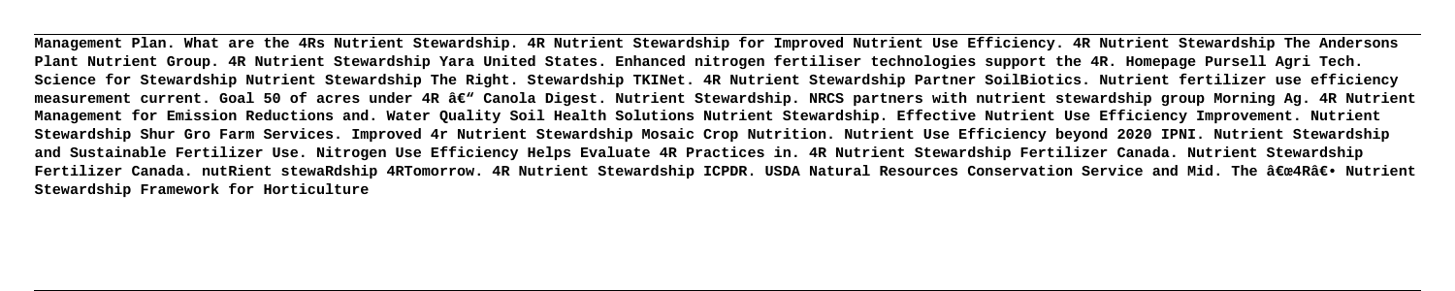**Management Plan. What are the 4Rs Nutrient Stewardship. 4R Nutrient Stewardship for Improved Nutrient Use Efficiency. 4R Nutrient Stewardship The Andersons Plant Nutrient Group. 4R Nutrient Stewardship Yara United States. Enhanced nitrogen fertiliser technologies support the 4R. Homepage Pursell Agri Tech. Science for Stewardship Nutrient Stewardship The Right. Stewardship TKINet. 4R Nutrient Stewardship Partner SoilBiotics. Nutrient fertilizer use efficiency** measurement current. Goal 50 of acres under 4R â€<sup>w</sup> Canola Digest. Nutrient Stewardship. NRCS partners with nutrient stewardship group Morning Ag. 4R Nutrient **Management for Emission Reductions and. Water Quality Soil Health Solutions Nutrient Stewardship. Effective Nutrient Use Efficiency Improvement. Nutrient Stewardship Shur Gro Farm Services. Improved 4r Nutrient Stewardship Mosaic Crop Nutrition. Nutrient Use Efficiency beyond 2020 IPNI. Nutrient Stewardship and Sustainable Fertilizer Use. Nitrogen Use Efficiency Helps Evaluate 4R Practices in. 4R Nutrient Stewardship Fertilizer Canada. Nutrient Stewardship** Fertilizer Canada. nutRient stewaRdship 4RTomorrow. 4R Nutrient Stewardship ICPDR. USDA Natural Resources Conservation Service and Mid. The "4R― Nutrient **Stewardship Framework for Horticulture**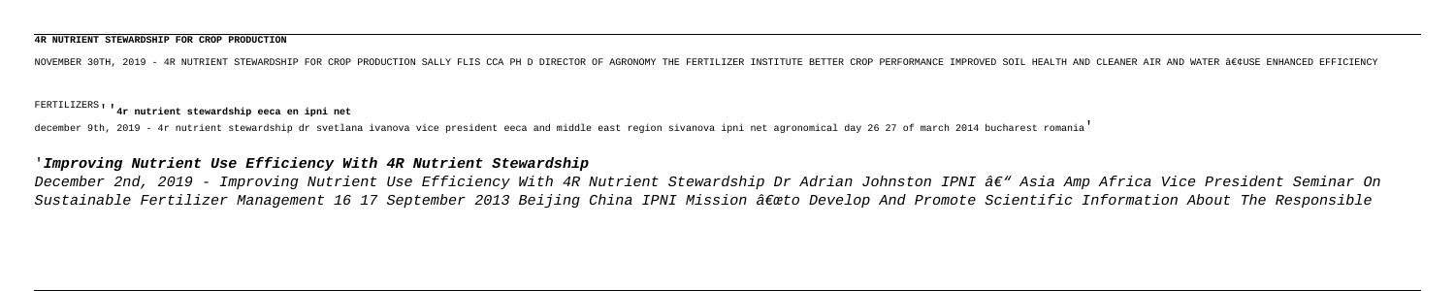### **4R NUTRIENT STEWARDSHIP FOR CROP PRODUCTION**

NOVEMBER 30TH, 2019 - 4R NUTRIENT STEWARDSHIP FOR CROP PRODUCTION SALLY FLIS CCA PH D DIRECTOR OF AGRONOMY THE FERTILIZER INSTITUTE BETTER CROP PERFORMANCE IMPROVED SOIL HEALTH AND CLEANER AIR AND WATER •USE ENHANCED EF

# FERTILIZERS''**4r nutrient stewardship eeca en ipni net**

december 9th, 2019 - 4r nutrient stewardship dr svetlana ivanova vice president eeca and middle east region sivanova ipni net agronomical day 26 27 of march 2014 bucharest romania'

## '**Improving Nutrient Use Efficiency With 4R Nutrient Stewardship**

December 2nd, 2019 - Improving Nutrient Use Efficiency With 4R Nutrient Stewardship Dr Adrian Johnston IPNI â€" Asia Amp Africa Vice President Seminar On Sustainable Fertilizer Management 16 17 September 2013 Beijing China IPNI Mission â $\epsilon$ œto Develop And Promote Scientific Information About The Responsible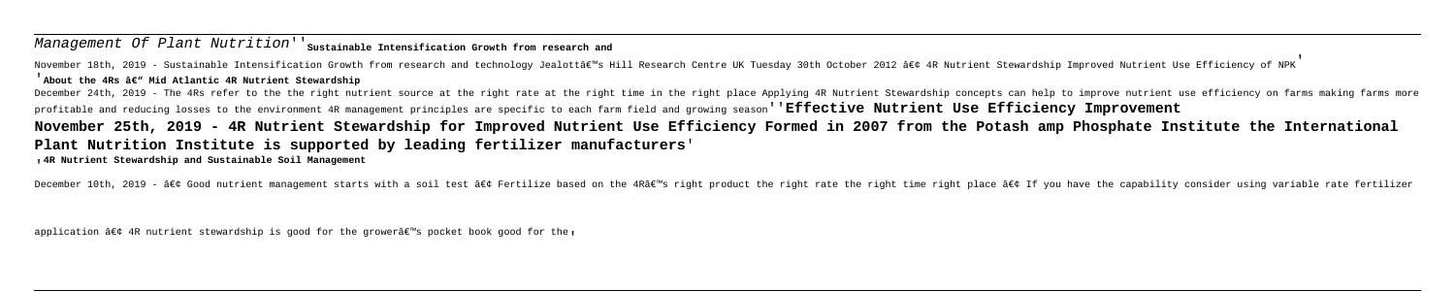# Management Of Plant Nutrition'<sup>'</sup> Sustainable Intensification Growth from research and

November 18th, 2019 - Sustainable Intensification Growth from research and technology Jealottâe"s Hill Research Centre UK Tuesday 30th October 2012 • 4R Nutrient Stewardship Improved Nutrient Use Efficiency of NPK'

### <sup>'</sup>About the 4Rs ' Mid Atlantic 4R Nutrient Stewardship

December 24th, 2019 - The 4Rs refer to the the right nutrient source at the right rate at the right time in the right place Applying 4R Nutrient Stewardship concepts can help to improve nutrient use efficiency on farms mak profitable and reducing losses to the environment 4R management principles are specific to each farm field and growing season''**Effective Nutrient Use Efficiency Improvement November 25th, 2019 - 4R Nutrient Stewardship for Improved Nutrient Use Efficiency Formed in 2007 from the Potash amp Phosphate Institute the International Plant Nutrition Institute is supported by leading fertilizer manufacturers**' '**4R Nutrient Stewardship and Sustainable Soil Management**

December 10th, 2019 - • Good nutrient management starts with a soil test • Fertilize based on the 4R's right product the right rate the right time right time right place • If you have the capability consider using

application  $\hat{a}\in\zeta$  4R nutrient stewardship is good for the grower $\hat{a}\in\mathcal{C}$  pocket book good for the,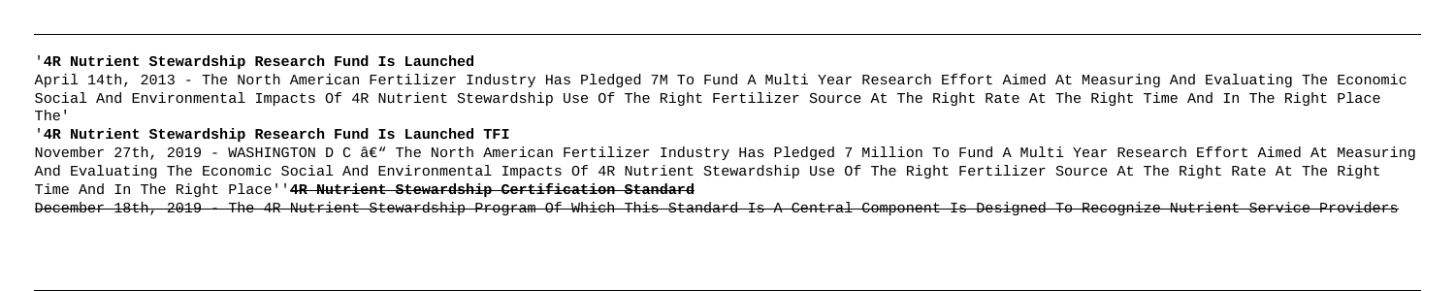## '**4R Nutrient Stewardship Research Fund Is Launched**

April 14th, 2013 - The North American Fertilizer Industry Has Pledged 7M To Fund A Multi Year Research Effort Aimed At Measuring And Evaluating The Economic Social And Environmental Impacts Of 4R Nutrient Stewardship Use Of The Right Fertilizer Source At The Right Rate At The Right Time And In The Right Place The'

## '**4R Nutrient Stewardship Research Fund Is Launched TFI**

November 27th, 2019 - WASHINGTON D C â€" The North American Fertilizer Industry Has Pledged 7 Million To Fund A Multi Year Research Effort Aimed At Measuring And Evaluating The Economic Social And Environmental Impacts Of 4R Nutrient Stewardship Use Of The Right Fertilizer Source At The Right Rate At The Right Time And In The Right Place''**4R Nutrient Stewardship Certification Standard** December 18th, 2019 - The 4R Nutrient Stewardship Program Of Which This Standard Is A Central Component Is Designed To Recognize Nutrient Service Providers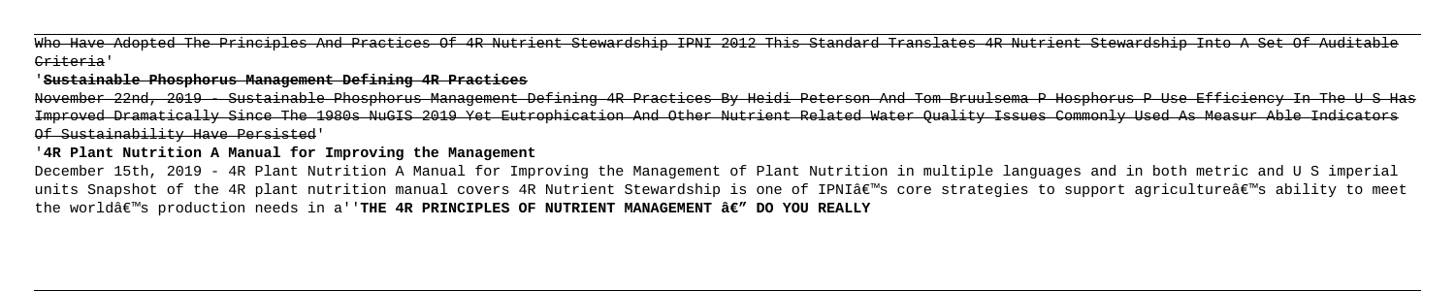Who Have Adopted The Principles And Practices Of 4R Nutrient Stewardship IPNI 2012 This Standard Translates 4R Nutrient Stewardship Into A Set Of Auditable Criteria'

### '**Sustainable Phosphorus Management Defining 4R Practices**

December 15th, 2019 - 4R Plant Nutrition A Manual for Improving the Management of Plant Nutrition in multiple languages and in both metric and U S imperial units Snapshot of the 4R plant nutrition manual covers 4R Nutrient Stewardship is one of IPNI's core strategies to support agriculture's ability to meet the world's production needs in a''**THE 4R PRINCIPLES OF NUTRIENT MANAGEMENT â€" DO YOU REALLY** 

November 22nd, 2019 - Sustainable Phosphorus Management Defining 4R Practices By Heidi Peterson And Tom Bruulsema P Hosphorus P Use Efficiency In The U S Has Improved Dramatically Since The 1980s NuGIS 2019 Yet Eutrophication And Other Nutrient Related Water Quality Issues Commonly Used As Measur Able Indicators Of Sustainability Have Persisted'

## '**4R Plant Nutrition A Manual for Improving the Management**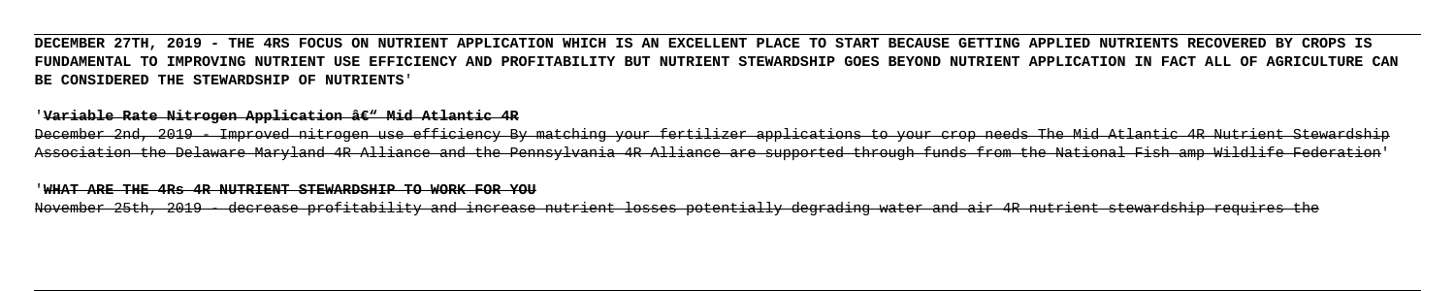# **DECEMBER 27TH, 2019 - THE 4RS FOCUS ON NUTRIENT APPLICATION WHICH IS AN EXCELLENT PLACE TO START BECAUSE GETTING APPLIED NUTRIENTS RECOVERED BY CROPS IS FUNDAMENTAL TO IMPROVING NUTRIENT USE EFFICIENCY AND PROFITABILITY BUT NUTRIENT STEWARDSHIP GOES BEYOND NUTRIENT APPLICATION IN FACT ALL OF AGRICULTURE CAN BE CONSIDERED THE STEWARDSHIP OF NUTRIENTS**'

### '<del>Variable Rate Nitrogen Application â€" Mid Atlantic 4R</del>

December 2nd, 2019 - Improved nitrogen use efficiency By matching your fertilizer applications to your crop needs The Mid Atlantic 4R Nutrient Stewardship Association the Delaware Maryland 4R Alliance and the Pennsylvania 4R Alliance are supported through funds from the National Fish amp Wildlife Federation'

### '**WHAT ARE THE 4Rs 4R NUTRIENT STEWARDSHIP TO WORK FOR YOU**

November 25th, 2019 - decrease profitability and increase nutrient losses potentially degrading water and air 4R nutrient stewardship requires the

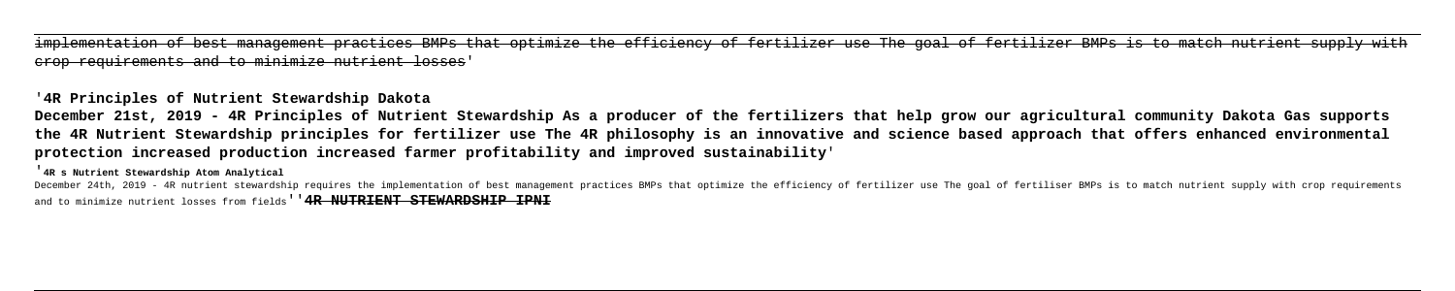implementation of best management practices BMPs that optimize the efficiency of fertilizer use The goal of fertilizer BMPs is to match nutrient supply with crop requirements and to minimize nutrient losses'

# '**4R Principles of Nutrient Stewardship Dakota**

**December 21st, 2019 - 4R Principles of Nutrient Stewardship As a producer of the fertilizers that help grow our agricultural community Dakota Gas supports the 4R Nutrient Stewardship principles for fertilizer use The 4R philosophy is an innovative and science based approach that offers enhanced environmental protection increased production increased farmer profitability and improved sustainability**'

'**4R s Nutrient Stewardship Atom Analytical**

December 24th, 2019 - 4R nutrient stewardship requires the implementation of best management practices BMPs that optimize the efficiency of fertilizer use The goal of fertiliser BMPs is to match nutrient supply with crop r and to minimize nutrient losses from fields<sup>'</sup> **4R NUTRIENT STEWARDSHIP IPNI**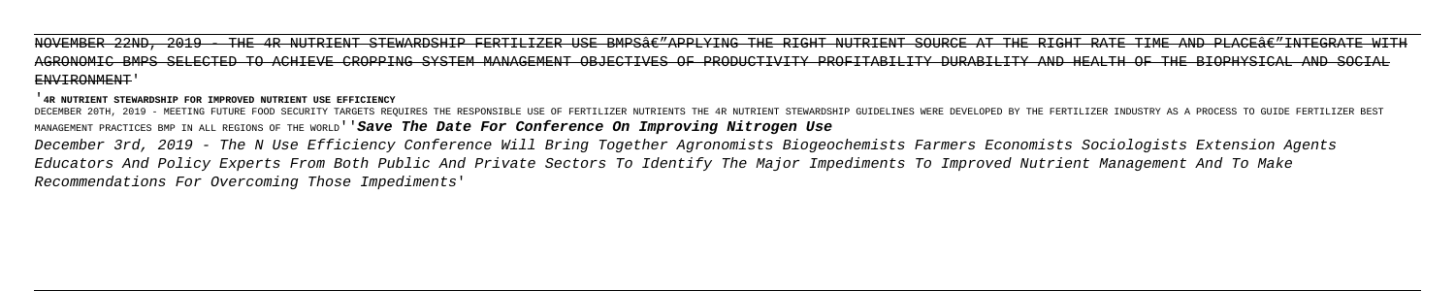NOVEMBER 22ND, 2019 - THE 4R NUTRIENT STEWARDSHIP FERTILIZER USE BMPS€"APPLYING THE RIGHT NUTRIENT SOURCE AT THE RIGHT RATE TIME AND PLACE€"INTEGRATE AGRONOMIC BMPS SELECTED TO ACHIEVE CROPPING SYSTEM MANAGEMENT OBJECTIVES OF PRODUCTIVITY PROFITABILITY DURABILITY AND HEALTH OF THE BIOPHYSICAL AND SOCIAL ENVIRONMENT'

### '**4R NUTRIENT STEWARDSHIP FOR IMPROVED NUTRIENT USE EFFICIENCY**

DECEMBER 20TH, 2019 - MEETING FUTURE FOOD SECURITY TARGETS REQUIRES THE RESPONSIBLE USE OF FERTILIZER NUTRIENTS THE 4R NUTRIENT STEWARDSHIP GUIDELINES WERE DEVELOPED BY THE FERTILIZER INDUSTRY AS A PROCESS TO GUIDE FERTILI MANAGEMENT PRACTICES BMP IN ALL REGIONS OF THE WORLD''**Save The Date For Conference On Improving Nitrogen Use** December 3rd, 2019 - The N Use Efficiency Conference Will Bring Together Agronomists Biogeochemists Farmers Economists Sociologists Extension Agents Educators And Policy Experts From Both Public And Private Sectors To Identify The Major Impediments To Improved Nutrient Management And To Make Recommendations For Overcoming Those Impediments'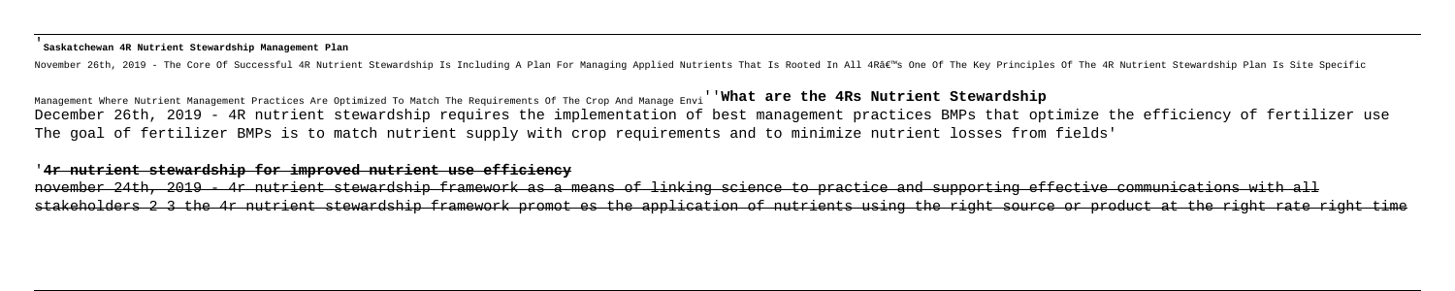### '**Saskatchewan 4R Nutrient Stewardship Management Plan**

November 26th, 2019 - The Core Of Successful 4R Nutrient Stewardship Is Including A Plan For Managing Applied Nutrients That Is Rooted In All 4R's One Of The Key Principles Of The 4R Nutrient Stewardship Plan Is Site Sp

Management Where Nutrient Management Practices Are Optimized To Match The Requirements Of The Crop And Manage Envi''**What are the 4Rs Nutrient Stewardship** December 26th, 2019 - 4R nutrient stewardship requires the implementation of best management practices BMPs that optimize the efficiency of fertilizer use The goal of fertilizer BMPs is to match nutrient supply with crop requirements and to minimize nutrient losses from fields'

november 24th, 2019 - 4r nutrient stewardship framework as a means of linking science to practice and supporting effective communications with all stakeholders 2 3 the 4r nutrient stewardship framework promot es the application of nutrients using the right source or product at the right rate right time

### '**4r nutrient stewardship for improved nutrient use efficiency**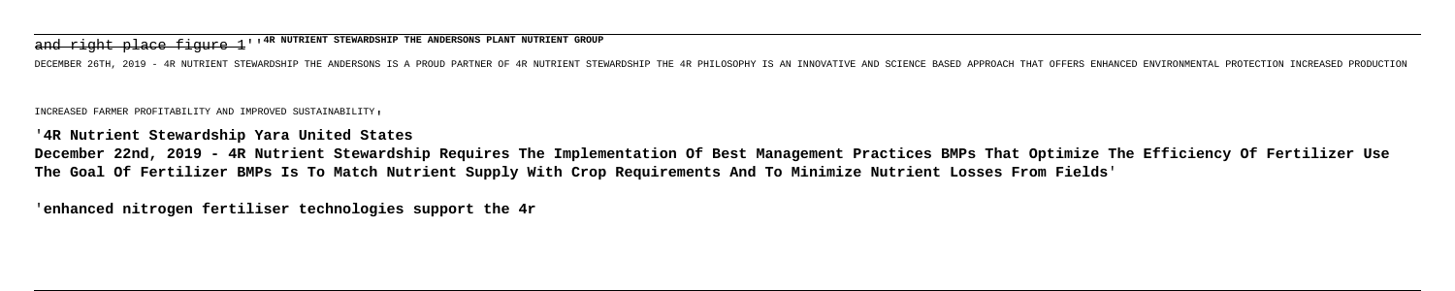and right place figure 1''**4R NUTRIENT STEWARDSHIP THE ANDERSONS PLANT NUTRIENT GROUP**

DECEMBER 26TH, 2019 - 4R NUTRIENT STEWARDSHIP THE ANDERSONS IS A PROUD PARTNER OF 4R NUTRIENT STEWARDSHIP THE 4R PHILOSOPHY IS AN INNOVATIVE AND SCIENCE BASED APPROACH THAT OFFERS ENHANCED ENVIRONMENTAL PRO

INCREASED FARMER PROFITABILITY AND IMPROVED SUSTAINABILITY'

'**4R Nutrient Stewardship Yara United States**

**December 22nd, 2019 - 4R Nutrient Stewardship Requires The Implementation Of Best Management Practices BMPs That Optimize The Efficiency Of Fertilizer Use The Goal Of Fertilizer BMPs Is To Match Nutrient Supply With Crop Requirements And To Minimize Nutrient Losses From Fields**'

'**enhanced nitrogen fertiliser technologies support the 4r**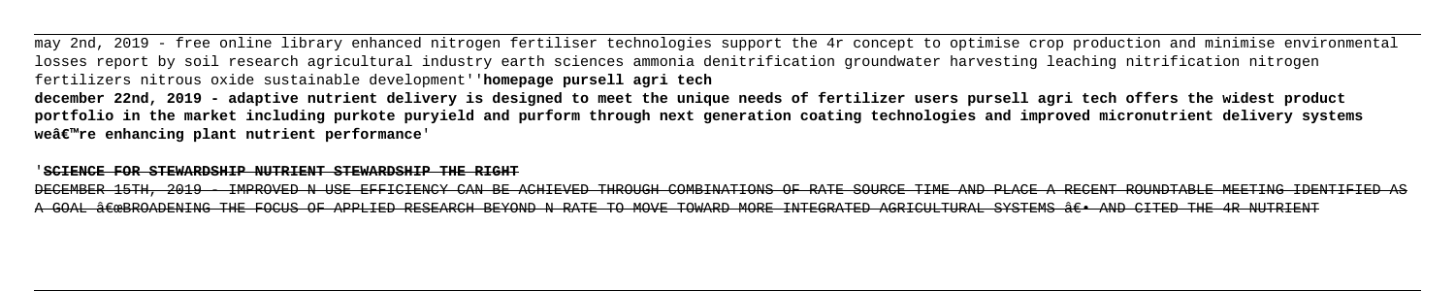may 2nd, 2019 - free online library enhanced nitrogen fertiliser technologies support the 4r concept to optimise crop production and minimise environmental losses report by soil research agricultural industry earth sciences ammonia denitrification groundwater harvesting leaching nitrification nitrogen fertilizers nitrous oxide sustainable development''**homepage pursell agri tech december 22nd, 2019 - adaptive nutrient delivery is designed to meet the unique needs of fertilizer users pursell agri tech offers the widest product portfolio in the market including purkote puryield and purform through next generation coating technologies and improved micronutrient delivery systems**

**we're enhancing plant nutrient performance**'

### '**SCIENCE FOR STEWARDSHIP NUTRIENT STEWARDSHIP THE RIGHT**

DECEMBER 15TH, 2019 - IMPROVED N USE EFFICIENCY CAN BE ACHIEVED THROUGH COMBINATIONS OF RATE SOURCE TIME AND PLACE A RECENT ROUNDTABLE MEETING IDENTIFIED A GOAL ÂCOBROADENING THE FOCUS OF APPLIED RESEARCH BEYOND N RATE TO MOVE TOWARD MORE INTEGRATED AGRICULTURAL SYSTEMS ÂC. AND CITED THE 4R NUTRIENT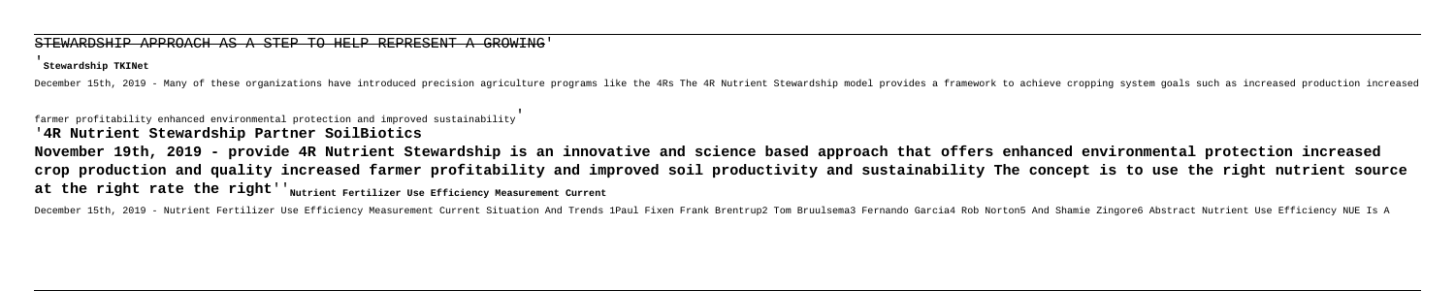### STEWARDSHIP APPROACH AS A STEP TO HELP REPRESENT A

### '**Stewardship TKINet**

December 15th, 2019 - Many of these organizations have introduced precision agriculture programs like the 4Rs The 4R Nutrient Stewardship model provides a framework to achieve cropping system goals such as increased produc

**November 19th, 2019 - provide 4R Nutrient Stewardship is an innovative and science based approach that offers enhanced environmental protection increased crop production and quality increased farmer profitability and improved soil productivity and sustainability The concept is to use the right nutrient source** at the right rate the right<sup>'</sup>'<sub>Nutrient Fertilizer Use Efficiency Measurement Current</sub>

December 15th, 2019 - Nutrient Fertilizer Use Efficiency Measurement Current Situation And Trends 1Paul Fixen Frank Brentrup2 Tom Bruulsema3 Fernando Garcia4 Rob Norton5 And Shamie Zingore6 Abstract Nutrient Use Efficiency

farmer profitability enhanced environmental protection and improved sustainability'

# '**4R Nutrient Stewardship Partner SoilBiotics**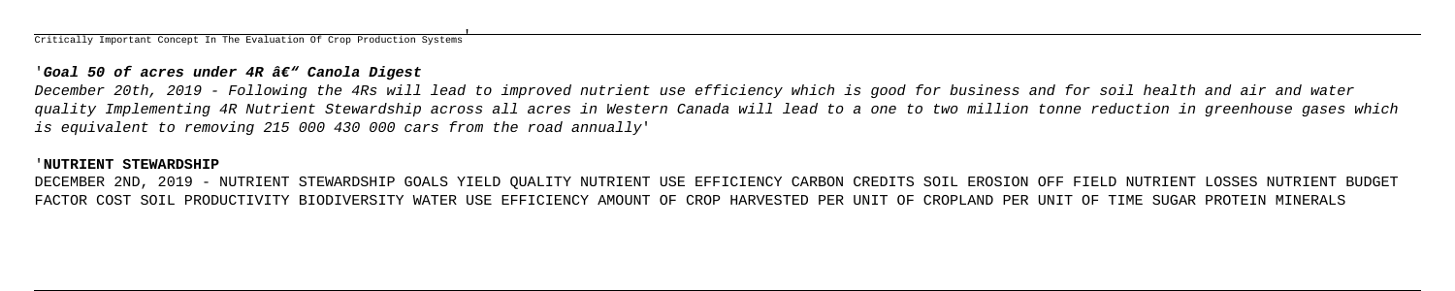Critically Important Concept In The Evaluation Of Crop Production Systems'

### 'Goal 50 of acres under 4R â€" Canola Digest

December 20th, 2019 - Following the 4Rs will lead to improved nutrient use efficiency which is good for business and for soil health and air and water quality Implementing 4R Nutrient Stewardship across all acres in Western Canada will lead to a one to two million tonne reduction in greenhouse gases which is equivalent to removing 215 000 430 000 cars from the road annually'

### '**NUTRIENT STEWARDSHIP**

DECEMBER 2ND, 2019 - NUTRIENT STEWARDSHIP GOALS YIELD QUALITY NUTRIENT USE EFFICIENCY CARBON CREDITS SOIL EROSION OFF FIELD NUTRIENT LOSSES NUTRIENT BUDGET FACTOR COST SOIL PRODUCTIVITY BIODIVERSITY WATER USE EFFICIENCY AMOUNT OF CROP HARVESTED PER UNIT OF CROPLAND PER UNIT OF TIME SUGAR PROTEIN MINERALS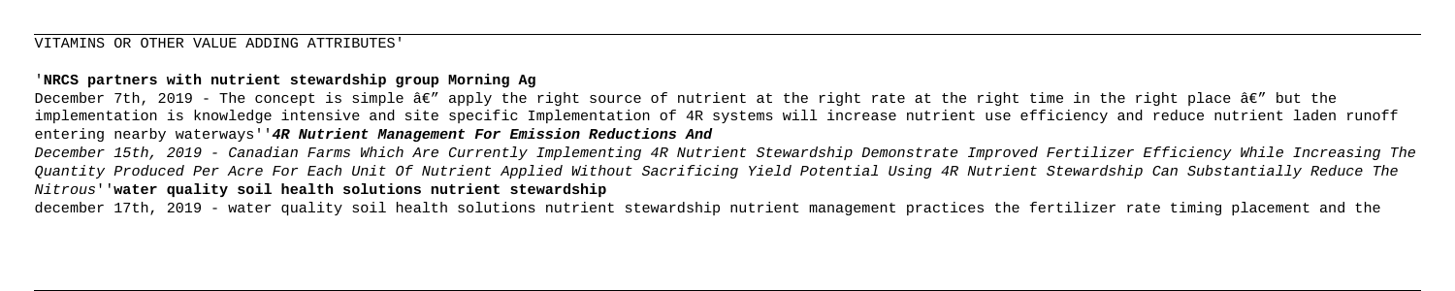# '**NRCS partners with nutrient stewardship group Morning Ag**

December 7th, 2019 - The concept is simple  $\hat{a} \in T$  apply the right source of nutrient at the right rate at the right time in the right place  $\hat{a} \in T$  but the implementation is knowledge intensive and site specific Implementation of 4R systems will increase nutrient use efficiency and reduce nutrient laden runoff entering nearby waterways''**4R Nutrient Management For Emission Reductions And** December 15th, 2019 - Canadian Farms Which Are Currently Implementing 4R Nutrient Stewardship Demonstrate Improved Fertilizer Efficiency While Increasing The Quantity Produced Per Acre For Each Unit Of Nutrient Applied Without Sacrificing Yield Potential Using 4R Nutrient Stewardship Can Substantially Reduce The

Nitrous''**water quality soil health solutions nutrient stewardship**

december 17th, 2019 - water quality soil health solutions nutrient stewardship nutrient management practices the fertilizer rate timing placement and the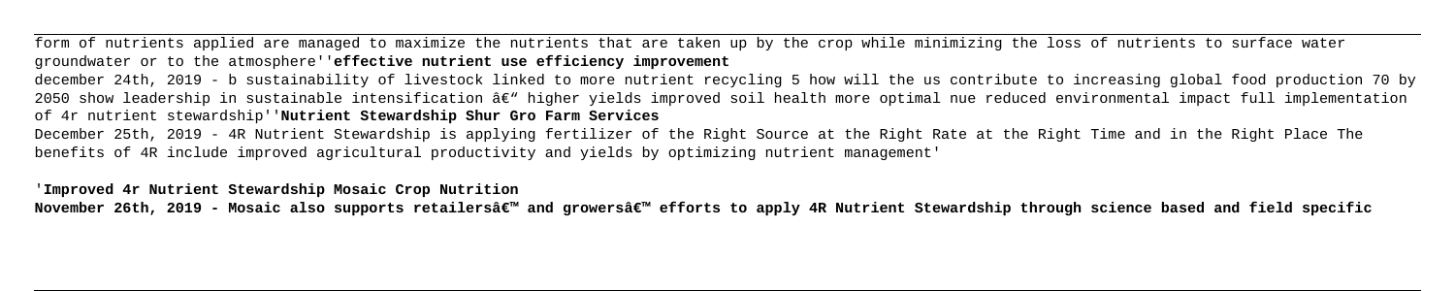form of nutrients applied are managed to maximize the nutrients that are taken up by the crop while minimizing the loss of nutrients to surface water groundwater or to the atmosphere''**effective nutrient use efficiency improvement** december 24th, 2019 - b sustainability of livestock linked to more nutrient recycling 5 how will the us contribute to increasing global food production 70 by 2050 show leadership in sustainable intensification â $\varepsilon$ " higher yields improved soil health more optimal nue reduced environmental impact full implementation of 4r nutrient stewardship''**Nutrient Stewardship Shur Gro Farm Services** December 25th, 2019 - 4R Nutrient Stewardship is applying fertilizer of the Right Source at the Right Rate at the Right Time and in the Right Place The benefits of 4R include improved agricultural productivity and yields by optimizing nutrient management'

'**Improved 4r Nutrient Stewardship Mosaic Crop Nutrition**

November 26th, 2019 - Mosaic also supports retailersâ€<sup>™</sup> and growersâ€<sup>™</sup> efforts to apply 4R Nutrient Stewardship through science based and field specific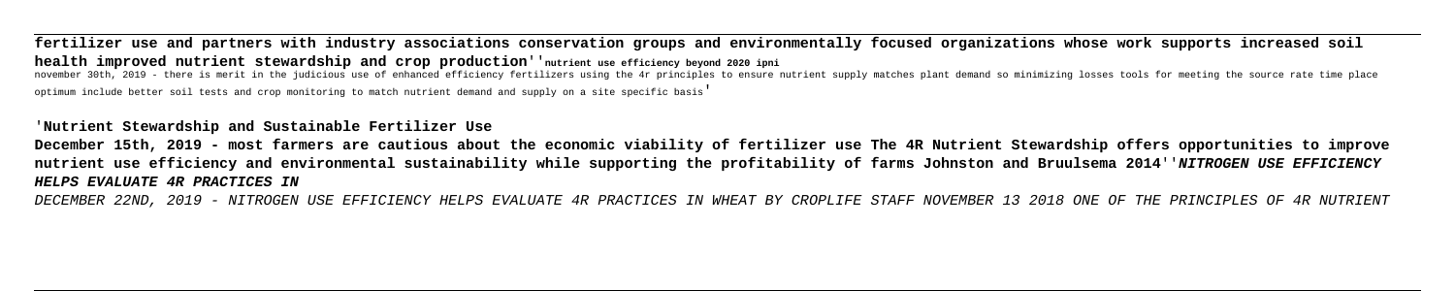**fertilizer use and partners with industry associations conservation groups and environmentally focused organizations whose work supports increased soil health improved nutrient stewardship and crop production**''**nutrient use efficiency beyond 2020 ipni**

november 30th, 2019 - there is merit in the judicious use of enhanced efficiency fertilizers using the 4r principles to ensure nutrient supply matches plant demand so minimizing losses tools for meeting the source rate tim optimum include better soil tests and crop monitoring to match nutrient demand and supply on a site specific basis'

# '**Nutrient Stewardship and Sustainable Fertilizer Use**

**December 15th, 2019 - most farmers are cautious about the economic viability of fertilizer use The 4R Nutrient Stewardship offers opportunities to improve nutrient use efficiency and environmental sustainability while supporting the profitability of farms Johnston and Bruulsema 2014**''**NITROGEN USE EFFICIENCY HELPS EVALUATE 4R PRACTICES IN**

DECEMBER 22ND, 2019 - NITROGEN USE EFFICIENCY HELPS EVALUATE 4R PRACTICES IN WHEAT BY CROPLIFE STAFF NOVEMBER 13 2018 ONE OF THE PRINCIPLES OF 4R NUTRIENT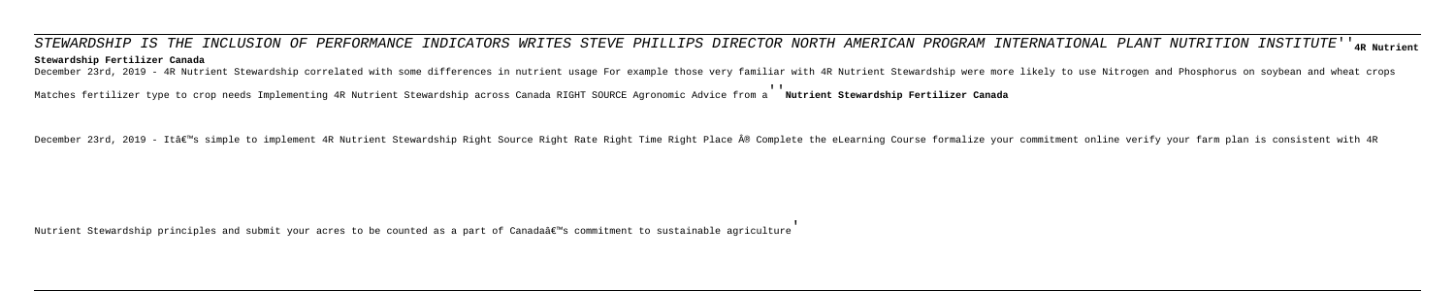STEWARDSHIP IS THE INCLUSION OF PERFORMANCE INDICATORS WRITES STEVE PHILLIPS DIRECTOR NORTH AMERICAN PROGRAM INTERNATIONAL PLANT NUTRITION INSTITUTE''**4R Nutrient Stewardship Fertilizer Canada**

December 23rd, 2019 - 4R Nutrient Stewardship correlated with some differences in nutrient usage For example those very familiar with 4R Nutrient Stewardship were more likely to use Nitrogen and Phosphorus on soybean and w

Matches fertilizer type to crop needs Implementing 4R Nutrient Stewardship across Canada RIGHT SOURCE Agronomic Advice from a''**Nutrient Stewardship Fertilizer Canada**

December 23rd, 2019 - It's simple to implement 4R Nutrient Stewardship Right Source Right Rate Right Time Right Place ® Complete the eLearning Course formalize your commitment online verify your farm plan is consistent

Nutrient Stewardship principles and submit your acres to be counted as a part of Canadaâ $\epsilon$ <sup>m</sup>s commitment to sustainable agriculture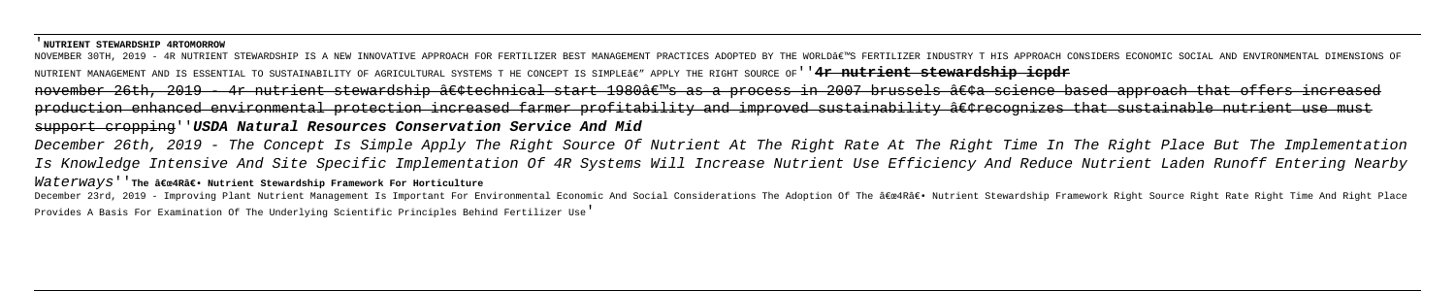### '**NUTRIENT STEWARDSHIP 4RTOMORROW**

NOVEMBER 30TH, 2019 - 4R NUTRIENT STEWARDSHIP IS A NEW INNOVATIVE APPROACH FOR FERTILIZER BEST MANAGEMENT PRACTICES ADOPTED BY THE WORLD'S FERTILIZER INDUSTRY T HIS APPROACH CONSIDERS ECONOMIC SOCIAL AND ENVIRONMENTAL NUTRIENT MANAGEMENT AND IS ESSENTIAL TO SUSTAINABILITY OF AGRICULTURAL SYSTEMS T HE CONCEPT IS SIMPLEÂE" APPLY THE RIGHT SOURCE OF''<del>' a nutrient stewardship icpdr</del> november 26th, 2019 - 4r nutrient stewardship •technical start 1980's as a process in 2007 brussels •a science based approach that offers increased production enhanced environmental protection increased farmer profitability and improved sustainability •recognizes that sustainable nutrient use must support cropping''**USDA Natural Resources Conservation Service And Mid**

December 26th, 2019 - The Concept Is Simple Apply The Right Source Of Nutrient At The Right Rate At The Right Time In The Right Place But The Implementation Is Knowledge Intensive And Site Specific Implementation Of 4R Systems Will Increase Nutrient Use Efficiency And Reduce Nutrient Laden Runoff Entering Nearby

### Waterways'<sup>'</sup> The  $\hat{a}$ Exe4R $\hat{a}$  Nutrient Stewardship Framework For Horticulture

December 23rd, 2019 - Improving Plant Nutrient Management Is Important For Environmental Economic And Social Considerations The Adoption Of The "4Râ€. Nutrient Stewardship Framework Right Source Right Rate Right Time An

Provides A Basis For Examination Of The Underlying Scientific Principles Behind Fertilizer Use'